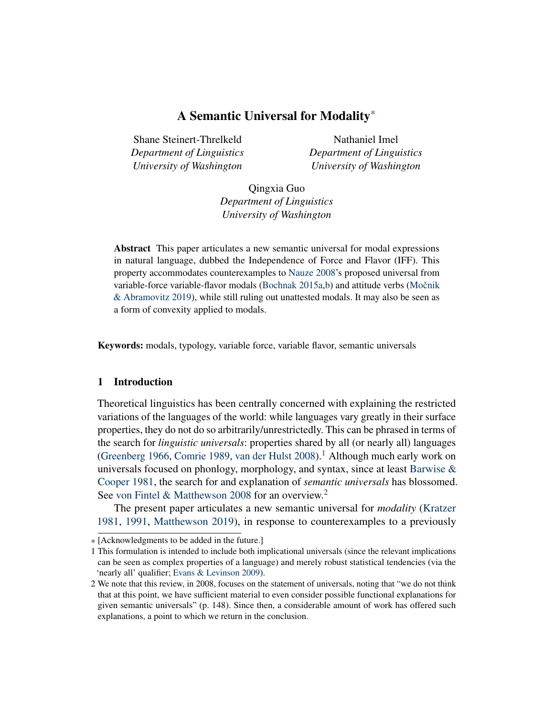Shane Steinert-Threlkeld *Department of Linguistics University of Washington*

Nathaniel Imel *Department of Linguistics University of Washington*

Qingxia Guo *Department of Linguistics University of Washington*

Abstract This paper articulates a new semantic universal for modal expressions in natural language, dubbed the Independence of Force and Flavor (IFF). This property accommodates counterexamples to [Nauze 2008'](#page-11-0)s proposed universal from variable-force variable-flavor modals [\(Bochnak 2015a](#page-10-0)[,b\)](#page-10-1) and attitude verbs (Močnik [& Abramovitz 2019\)](#page-11-1), while still ruling out unattested modals. It may also be seen as a form of convexity applied to modals.

Keywords: modals, typology, variable force, variable flavor, semantic universals

### 1 Introduction

Theoretical linguistics has been centrally concerned with explaining the restricted variations of the languages of the world: while languages vary greatly in their surface properties, they do not do so arbitrarily/unrestrictedly. This can be phrased in terms of the search for *linguistic universals*: properties shared by all (or nearly all) languages [\(Greenberg 1966,](#page-11-2) [Comrie 1989,](#page-10-2) [van der Hulst 2008\)](#page-11-3).<sup>[1](#page-0-0)</sup> Although much early work on universals focused on phonlogy, morphology, and syntax, since at least Barwise  $\&$ [Cooper 1981,](#page-10-3) the search for and explanation of *semantic universals* has blossomed. See [von Fintel & Matthewson 2008](#page-10-4) for an overview.<sup>[2](#page-0-1)</sup>

The present paper articulates a new semantic universal for *modality* [\(Kratzer](#page-11-4) [1981,](#page-11-4) [1991,](#page-11-5) [Matthewson 2019\)](#page-11-6), in response to counterexamples to a previously

<sup>\*</sup> [Acknowledgments to be added in the future.]

<span id="page-0-0"></span><sup>1</sup> This formulation is intended to include both implicational universals (since the relevant implications can be seen as complex properties of a language) and merely robust statistical tendencies (via the 'nearly all' qualifier; [Evans & Levinson 2009\)](#page-10-5).

<span id="page-0-1"></span><sup>2</sup> We note that this review, in 2008, focuses on the statement of universals, noting that "we do not think that at this point, we have sufficient material to even consider possible functional explanations for given semantic universals" (p. 148). Since then, a considerable amount of work has offered such explanations, a point to which we return in the conclusion.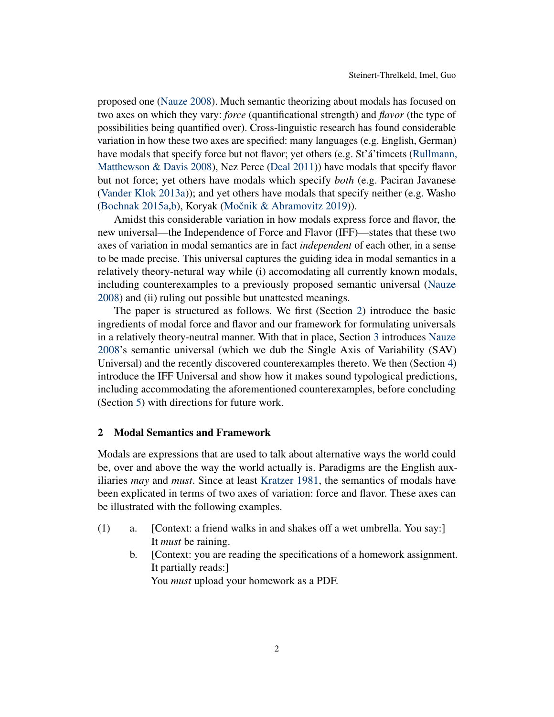proposed one [\(Nauze 2008\)](#page-11-0). Much semantic theorizing about modals has focused on two axes on which they vary: *force* (quantificational strength) and *flavor* (the type of possibilities being quantified over). Cross-linguistic research has found considerable variation in how these two axes are specified: many languages (e.g. English, German) have modals that specify force but not flavor; yet others (e.g. St'á'timcets [\(Rullmann,](#page-12-0) [Matthewson & Davis 2008\)](#page-12-0), Nez Perce [\(Deal 2011\)](#page-10-6)) have modals that specify flavor but not force; yet others have modals which specify *both* (e.g. Paciran Javanese [\(Vander Klok 2013a\)](#page-12-1)); and yet others have modals that specify neither (e.g. Washo [\(Bochnak 2015a](#page-10-0)[,b\)](#page-10-1), Koryak (Močnik & Abramovitz 2019)).

Amidst this considerable variation in how modals express force and flavor, the new universal—the Independence of Force and Flavor (IFF)—states that these two axes of variation in modal semantics are in fact *independent* of each other, in a sense to be made precise. This universal captures the guiding idea in modal semantics in a relatively theory-netural way while (i) accomodating all currently known modals, including counterexamples to a previously proposed semantic universal [\(Nauze](#page-11-0) [2008\)](#page-11-0) and (ii) ruling out possible but unattested meanings.

The paper is structured as follows. We first (Section [2\)](#page-1-0) introduce the basic ingredients of modal force and flavor and our framework for formulating universals in a relatively theory-neutral manner. With that in place, Section [3](#page-4-0) introduces [Nauze](#page-11-0) [2008'](#page-11-0)s semantic universal (which we dub the Single Axis of Variability (SAV) Universal) and the recently discovered counterexamples thereto. We then (Section [4\)](#page-5-0) introduce the IFF Universal and show how it makes sound typological predictions, including accommodating the aforementioned counterexamples, before concluding (Section [5\)](#page-9-0) with directions for future work.

### <span id="page-1-0"></span>2 Modal Semantics and Framework

Modals are expressions that are used to talk about alternative ways the world could be, over and above the way the world actually is. Paradigms are the English auxiliaries *may* and *must*. Since at least [Kratzer 1981,](#page-11-4) the semantics of modals have been explicated in terms of two axes of variation: force and flavor. These axes can be illustrated with the following examples.

- <span id="page-1-3"></span><span id="page-1-2"></span><span id="page-1-1"></span>(1) a. [Context: a friend walks in and shakes off a wet umbrella. You say:] It *must* be raining.
	- b. [Context: you are reading the specifications of a homework assignment. It partially reads:] You *must* upload your homework as a PDF.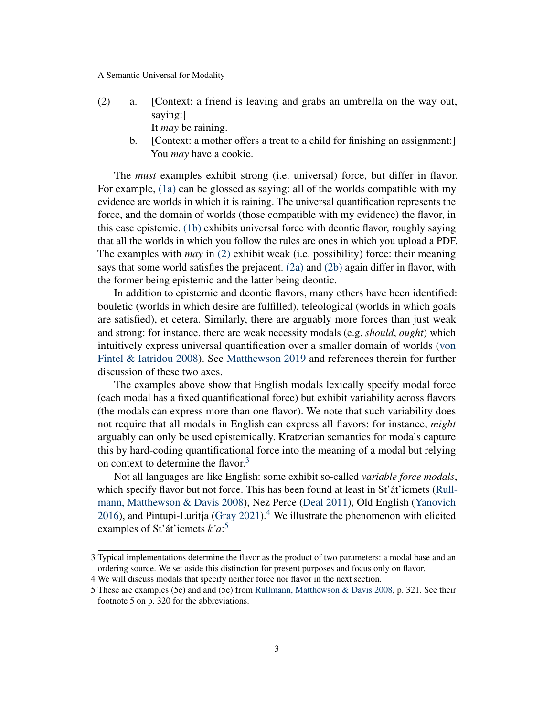<span id="page-2-0"></span>(2) a. [Context: a friend is leaving and grabs an umbrella on the way out, saying:] It *may* be raining.

<span id="page-2-1"></span>b. [Context: a mother offers a treat to a child for finishing an assignment:] You *may* have a cookie.

The *must* examples exhibit strong (i.e. universal) force, but differ in flavor. For example, [\(1a\)](#page-1-1) can be glossed as saying: all of the worlds compatible with my evidence are worlds in which it is raining. The universal quantification represents the force, and the domain of worlds (those compatible with my evidence) the flavor, in this case epistemic. [\(1b\)](#page-1-2) exhibits universal force with deontic flavor, roughly saying that all the worlds in which you follow the rules are ones in which you upload a PDF. The examples with *may* in [\(2\)](#page-1-3) exhibit weak (i.e. possibility) force: their meaning says that some world satisfies the prejacent.  $(2a)$  and  $(2b)$  again differ in flavor, with the former being epistemic and the latter being deontic.

In addition to epistemic and deontic flavors, many others have been identified: bouletic (worlds in which desire are fulfilled), teleological (worlds in which goals are satisfied), et cetera. Similarly, there are arguably more forces than just weak and strong: for instance, there are weak necessity modals (e.g. *should*, *ought*) which intuitively express universal quantification over a smaller domain of worlds [\(von](#page-10-7) [Fintel & Iatridou 2008\)](#page-10-7). See [Matthewson 2019](#page-11-6) and references therein for further discussion of these two axes.

The examples above show that English modals lexically specify modal force (each modal has a fixed quantificational force) but exhibit variability across flavors (the modals can express more than one flavor). We note that such variability does not require that all modals in English can express all flavors: for instance, *might* arguably can only be used epistemically. Kratzerian semantics for modals capture this by hard-coding quantificational force into the meaning of a modal but relying on context to determine the flavor.<sup>[3](#page-2-2)</sup>

Not all languages are like English: some exhibit so-called *variable force modals*, which specify flavor but not force. This has been found at least in St'at'icmets [\(Rull](#page-12-0)[mann, Matthewson & Davis 2008\)](#page-12-0), Nez Perce [\(Deal 2011\)](#page-10-6), Old English [\(Yanovich](#page-12-2) [2016\)](#page-12-2), and Pintupi-Luritja [\(Gray 2021\)](#page-11-7).<sup>[4](#page-2-3)</sup> We illustrate the phenomenon with elicited examples of St'át'icmets *k'a*: [5](#page-2-4)

<span id="page-2-5"></span><span id="page-2-2"></span><sup>3</sup> Typical implementations determine the flavor as the product of two parameters: a modal base and an ordering source. We set aside this distinction for present purposes and focus only on flavor.

<span id="page-2-3"></span><sup>4</sup> We will discuss modals that specify neither force nor flavor in the next section.

<span id="page-2-4"></span><sup>5</sup> These are examples (5c) and and (5e) from [Rullmann, Matthewson & Davis 2008,](#page-12-0) p. 321. See their footnote 5 on p. 320 for the abbreviations.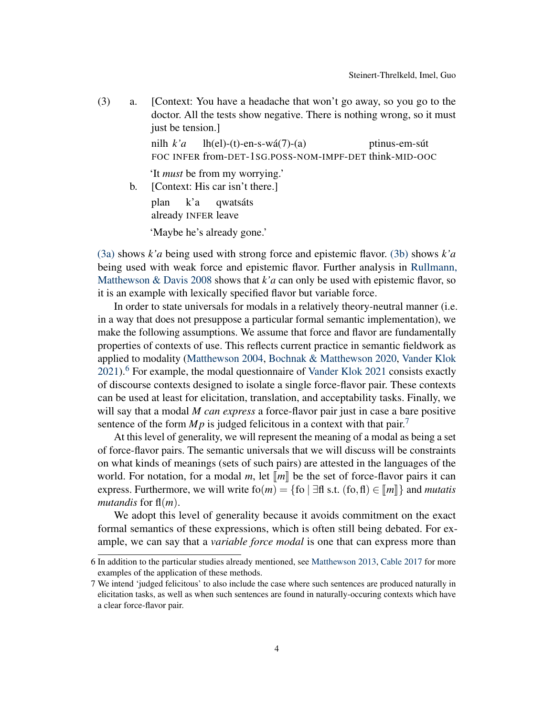(3) a. [Context: You have a headache that won't go away, so you go to the doctor. All the tests show negative. There is nothing wrong, so it must just be tension.

> nilh *k'a* FOC INFER from-DET-1SG.POSS-NOM-IMPF-DET think-MID-OOC  $lh(el)-(t)-en-s-wá(7)-(a)$ ptinus-em-sút

'It *must* be from my worrying.'

<span id="page-3-0"></span>b. [Context: His car isn't there.]

plan already INFER leave k'a qwatsáts

'Maybe he's already gone.'

[\(3a\)](#page-2-5) shows *k'a* being used with strong force and epistemic flavor. [\(3b\)](#page-3-0) shows *k'a* being used with weak force and epistemic flavor. Further analysis in [Rullmann,](#page-12-0) Matthewson  $\&$  Davis 2008 shows that  $k$ '*a* can only be used with epistemic flavor, so it is an example with lexically specified flavor but variable force.

In order to state universals for modals in a relatively theory-neutral manner (i.e. in a way that does not presuppose a particular formal semantic implementation), we make the following assumptions. We assume that force and flavor are fundamentally properties of contexts of use. This reflects current practice in semantic fieldwork as applied to modality [\(Matthewson 2004,](#page-11-8) [Bochnak & Matthewson 2020,](#page-10-8) [Vander Klok](#page-12-3)  $2021$ <sup>[6](#page-3-1)</sup>. For example, the modal questionnaire of [Vander Klok 2021](#page-12-3) consists exactly of discourse contexts designed to isolate a single force-flavor pair. These contexts can be used at least for elicitation, translation, and acceptability tasks. Finally, we will say that a modal *M can express* a force-flavor pair just in case a bare positive sentence of the form  $Mp$  is judged felicitous in a context with that pair.<sup>[7](#page-3-2)</sup>

At this level of generality, we will represent the meaning of a modal as being a set of force-flavor pairs. The semantic universals that we will discuss will be constraints on what kinds of meanings (sets of such pairs) are attested in the languages of the world. For notation, for a modal *m*, let  $\llbracket m \rrbracket$  be the set of force-flavor pairs it can express. Furthermore, we will write  $f_0(m) = \{f_0 \mid \exists f \in S : f_0, f_1 \in [m]\}\$  and *mutatis mutandis* for fl(*m*).

We adopt this level of generality because it avoids commitment on the exact formal semantics of these expressions, which is often still being debated. For example, we can say that a *variable force modal* is one that can express more than

<span id="page-3-1"></span><sup>6</sup> In addition to the particular studies already mentioned, see [Matthewson 2013,](#page-11-9) [Cable 2017](#page-10-9) for more examples of the application of these methods.

<span id="page-3-2"></span><sup>7</sup> We intend 'judged felicitous' to also include the case where such sentences are produced naturally in elicitation tasks, as well as when such sentences are found in naturally-occuring contexts which have a clear force-flavor pair.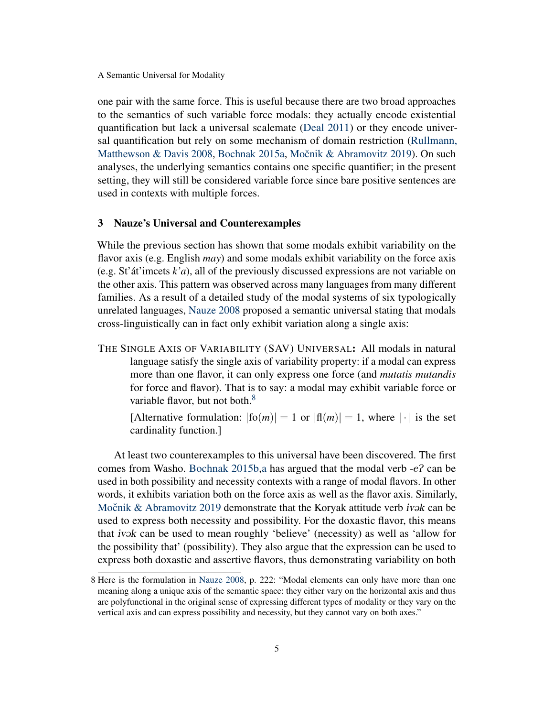one pair with the same force. This is useful because there are two broad approaches to the semantics of such variable force modals: they actually encode existential quantification but lack a universal scalemate [\(Deal 2011\)](#page-10-6) or they encode universal quantification but rely on some mechanism of domain restriction [\(Rullmann,](#page-12-0) [Matthewson & Davis 2008,](#page-12-0) [Bochnak 2015a,](#page-10-0) Močnik & Abramovitz 2019). On such analyses, the underlying semantics contains one specific quantifier; in the present setting, they will still be considered variable force since bare positive sentences are used in contexts with multiple forces.

### <span id="page-4-0"></span>3 Nauze's Universal and Counterexamples

While the previous section has shown that some modals exhibit variability on the flavor axis (e.g. English *may*) and some modals exhibit variability on the force axis (e.g. St'át'imcets *k'a*), all of the previously discussed expressions are not variable on the other axis. This pattern was observed across many languages from many different families. As a result of a detailed study of the modal systems of six typologically unrelated languages, [Nauze 2008](#page-11-0) proposed a semantic universal stating that modals cross-linguistically can in fact only exhibit variation along a single axis:

THE SINGLE AXIS OF VARIABILITY (SAV) UNIVERSAL: All modals in natural language satisfy the single axis of variability property: if a modal can express more than one flavor, it can only express one force (and *mutatis mutandis* for force and flavor). That is to say: a modal may exhibit variable force or variable flavor, but not both. $8<sup>8</sup>$  $8<sup>8</sup>$ 

[Alternative formulation:  $|f_0(m)| = 1$  or  $|f_1(m)| = 1$ , where  $|\cdot|$  is the set cardinality function.]

At least two counterexamples to this universal have been discovered. The first comes from Washo. [Bochnak 2015b](#page-10-1), a has argued that the modal verb  $-e^2$  can be used in both possibility and necessity contexts with a range of modal flavors. In other words, it exhibits variation both on the force axis as well as the flavor axis. Similarly, Močnik & Abramovitz 2019 demonstrate that the Koryak attitude verb ivak can be used to express both necessity and possibility. For the doxastic flavor, this means that *ivak* can be used to mean roughly 'believe' (necessity) as well as 'allow for the possibility that' (possibility). They also argue that the expression can be used to express both doxastic and assertive flavors, thus demonstrating variability on both

<span id="page-4-1"></span><sup>8</sup> Here is the formulation in [Nauze 2008,](#page-11-0) p. 222: "Modal elements can only have more than one meaning along a unique axis of the semantic space: they either vary on the horizontal axis and thus are polyfunctional in the original sense of expressing different types of modality or they vary on the vertical axis and can express possibility and necessity, but they cannot vary on both axes."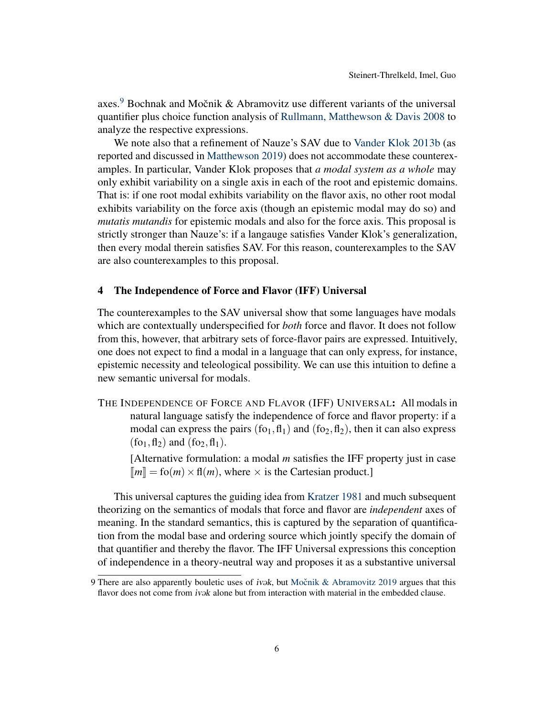axes.<sup>[9](#page-5-1)</sup> Bochnak and Močnik & Abramovitz use different variants of the universal quantifier plus choice function analysis of [Rullmann, Matthewson & Davis 2008](#page-12-0) to analyze the respective expressions.

We note also that a refinement of Nauze's SAV due to [Vander Klok 2013b](#page-12-4) (as reported and discussed in [Matthewson 2019\)](#page-11-6) does not accommodate these counterexamples. In particular, Vander Klok proposes that *a modal system as a whole* may only exhibit variability on a single axis in each of the root and epistemic domains. That is: if one root modal exhibits variability on the flavor axis, no other root modal exhibits variability on the force axis (though an epistemic modal may do so) and *mutatis mutandis* for epistemic modals and also for the force axis. This proposal is strictly stronger than Nauze's: if a langauge satisfies Vander Klok's generalization, then every modal therein satisfies SAV. For this reason, counterexamples to the SAV are also counterexamples to this proposal.

## <span id="page-5-0"></span>4 The Independence of Force and Flavor (IFF) Universal

The counterexamples to the SAV universal show that some languages have modals which are contextually underspecified for *both* force and flavor. It does not follow from this, however, that arbitrary sets of force-flavor pairs are expressed. Intuitively, one does not expect to find a modal in a language that can only express, for instance, epistemic necessity and teleological possibility. We can use this intuition to define a new semantic universal for modals.

THE INDEPENDENCE OF FORCE AND FLAVOR (IFF) UNIVERSAL: All modals in natural language satisfy the independence of force and flavor property: if a modal can express the pairs  $(fo_1, fl_1)$  and  $(fo_2, fl_2)$ , then it can also express  $(fo_1, fl_2)$  and  $(fo_2, fl_1)$ .

[Alternative formulation: a modal *m* satisfies the IFF property just in case  $\llbracket m \rrbracket =$  fo(*m*) × f(*m*), where × is the Cartesian product.]

This universal captures the guiding idea from [Kratzer 1981](#page-11-4) and much subsequent theorizing on the semantics of modals that force and flavor are *independent* axes of meaning. In the standard semantics, this is captured by the separation of quantification from the modal base and ordering source which jointly specify the domain of that quantifier and thereby the flavor. The IFF Universal expressions this conception of independence in a theory-neutral way and proposes it as a substantive universal

<span id="page-5-1"></span><sup>9</sup> There are also apparently bouletic uses of *ivak*, but Močnik & Abramovitz 2019 argues that this flavor does not come from *ivak* alone but from interaction with material in the embedded clause.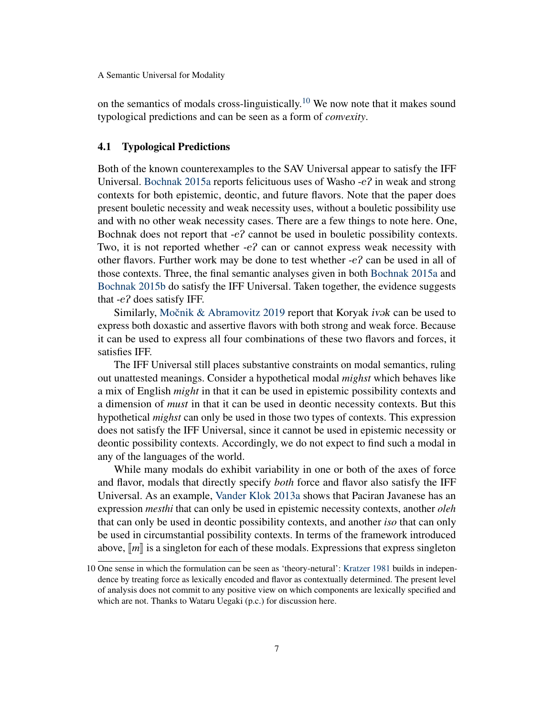on the semantics of modals cross-linguistically.<sup>[10](#page-6-0)</sup> We now note that it makes sound typological predictions and can be seen as a form of *convexity*.

#### <span id="page-6-1"></span>4.1 Typological Predictions

Both of the known counterexamples to the SAV Universal appear to satisfy the IFF Universal. [Bochnak 2015a](#page-10-0) reports felicituous uses of Washo -eP in weak and strong contexts for both epistemic, deontic, and future flavors. Note that the paper does present bouletic necessity and weak necessity uses, without a bouletic possibility use and with no other weak necessity cases. There are a few things to note here. One, Bochnak does not report that  $-e^2$  cannot be used in bouletic possibility contexts. Two, it is not reported whether  $-e^2$  can or cannot express weak necessity with other flavors. Further work may be done to test whether  $-e$ ? can be used in all of those contexts. Three, the final semantic analyses given in both [Bochnak 2015a](#page-10-0) and [Bochnak 2015b](#page-10-1) do satisfy the IFF Universal. Taken together, the evidence suggests that -eP does satisfy IFF.

Similarly, Močnik & Abramovitz 2019 report that Koryak ivak can be used to express both doxastic and assertive flavors with both strong and weak force. Because it can be used to express all four combinations of these two flavors and forces, it satisfies IFF.

The IFF Universal still places substantive constraints on modal semantics, ruling out unattested meanings. Consider a hypothetical modal *mighst* which behaves like a mix of English *might* in that it can be used in epistemic possibility contexts and a dimension of *must* in that it can be used in deontic necessity contexts. But this hypothetical *mighst* can only be used in those two types of contexts. This expression does not satisfy the IFF Universal, since it cannot be used in epistemic necessity or deontic possibility contexts. Accordingly, we do not expect to find such a modal in any of the languages of the world.

While many modals do exhibit variability in one or both of the axes of force and flavor, modals that directly specify *both* force and flavor also satisfy the IFF Universal. As an example, [Vander Klok 2013a](#page-12-1) shows that Paciran Javanese has an expression *mesthi* that can only be used in epistemic necessity contexts, another *oleh* that can only be used in deontic possibility contexts, and another *iso* that can only be used in circumstantial possibility contexts. In terms of the framework introduced above,  $\llbracket m \rrbracket$  is a singleton for each of these modals. Expressions that express singleton

<span id="page-6-0"></span><sup>10</sup> One sense in which the formulation can be seen as 'theory-netural': [Kratzer 1981](#page-11-4) builds in independence by treating force as lexically encoded and flavor as contextually determined. The present level of analysis does not commit to any positive view on which components are lexically specified and which are not. Thanks to Wataru Uegaki (p.c.) for discussion here.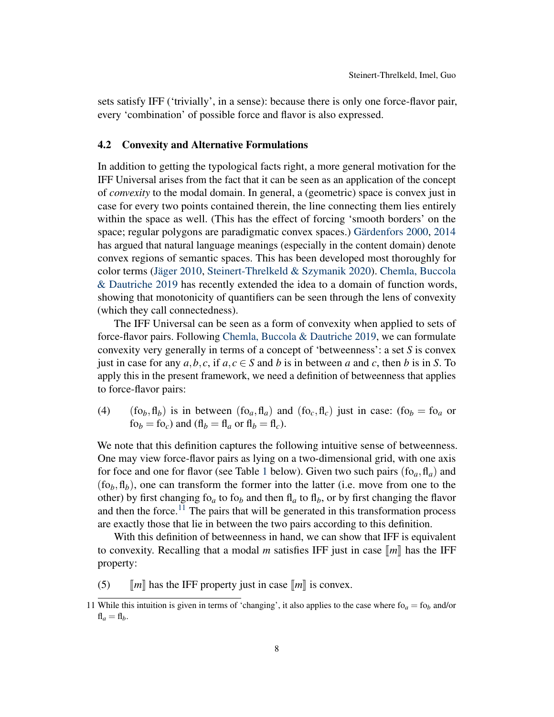sets satisfy IFF ('trivially', in a sense): because there is only one force-flavor pair, every 'combination' of possible force and flavor is also expressed.

## 4.2 Convexity and Alternative Formulations

In addition to getting the typological facts right, a more general motivation for the IFF Universal arises from the fact that it can be seen as an application of the concept of *convexity* to the modal domain. In general, a (geometric) space is convex just in case for every two points contained therein, the line connecting them lies entirely within the space as well. (This has the effect of forcing 'smooth borders' on the space; regular polygons are paradigmatic convex spaces.) [Gärdenfors 2000,](#page-10-10) [2014](#page-11-10) has argued that natural language meanings (especially in the content domain) denote convex regions of semantic spaces. This has been developed most thoroughly for color terms [\(Jäger 2010,](#page-11-11) [Steinert-Threlkeld & Szymanik 2020\)](#page-12-5). [Chemla, Buccola](#page-10-11) [& Dautriche 2019](#page-10-11) has recently extended the idea to a domain of function words, showing that monotonicity of quantifiers can be seen through the lens of convexity (which they call connectedness).

The IFF Universal can be seen as a form of convexity when applied to sets of force-flavor pairs. Following [Chemla, Buccola & Dautriche 2019,](#page-10-11) we can formulate convexity very generally in terms of a concept of 'betweenness': a set *S* is convex just in case for any  $a, b, c$ , if  $a, c \in S$  and  $b$  is in between  $a$  and  $c$ , then  $b$  is in  $S$ . To apply this in the present framework, we need a definition of betweenness that applies to force-flavor pairs:

(4)  $(f\circ b, f\circ h)$  is in between  $(f\circ a, f\circ h)$  and  $(f\circ c, f\circ h)$  just in case:  $(f\circ b) = f\circ a$  or  $f{\circ}_b = f{\circ}_c$  and  $(f{\circ}_b = f{\circ}_a$  or  $f{\circ}_b = f{\circ}_c$ .

We note that this definition captures the following intuitive sense of betweenness. One may view force-flavor pairs as lying on a two-dimensional grid, with one axis for foce and one for flavor (see Table [1](#page-8-0) below). Given two such pairs  $(f_{0a}, f_{1a})$  and  $(f_0, fl_b)$ , one can transform the former into the latter (i.e. move from one to the other) by first changing fo<sub>a</sub> to fo<sub>b</sub> and then fl<sub>a</sub> to fl<sub>b</sub>, or by first changing the flavor and then the force.<sup>[11](#page-7-0)</sup> The pairs that will be generated in this transformation process are exactly those that lie in between the two pairs according to this definition.

With this definition of betweenness in hand, we can show that IFF is equivalent to convexity. Recalling that a modal *m* satisfies IFF just in case  $\llbracket m \rrbracket$  has the IFF property:

(5)  $\llbracket m \rrbracket$  has the IFF property just in case  $\llbracket m \rrbracket$  is convex.

<span id="page-7-0"></span><sup>11</sup> While this intuition is given in terms of 'changing', it also applies to the case where  $f_0 = f_0$  and/or  $f{f}_a = f{f}_b.$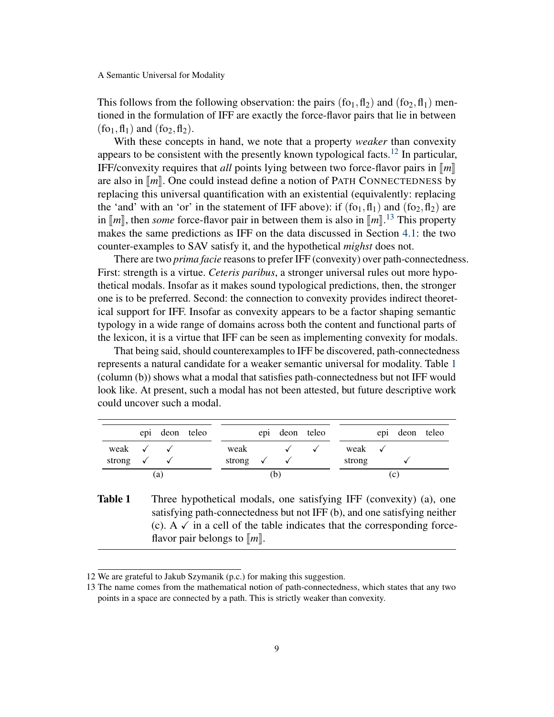This follows from the following observation: the pairs  $(f_0, f_1)$  and  $(f_0, f_1)$  mentioned in the formulation of IFF are exactly the force-flavor pairs that lie in between  $(fo_1, fl_1)$  and  $(fo_2, fl_2)$ .

With these concepts in hand, we note that a property *weaker* than convexity appears to be consistent with the presently known typological facts.<sup>[12](#page-8-1)</sup> In particular, IFF/convexity requires that *all* points lying between two force-flavor pairs in  $\llbracket m \rrbracket$ are also in  $\llbracket m \rrbracket$ . One could instead define a notion of PATH CONNECTEDNESS by replacing this universal quantification with an existential (equivalently: replacing the 'and' with an 'or' in the statement of IFF above): if  $(f_{01}, f_{11})$  and  $(f_{02}, f_{12})$  are in  $\llbracket m \rrbracket$ , then *some* force-flavor pair in between them is also in  $\llbracket m \rrbracket$ .<sup>[13](#page-8-2)</sup> This property makes the same prodictions as JEE on the data discussed in Section 4.1; the two makes the same predictions as IFF on the data discussed in Section [4.1:](#page-6-1) the two counter-examples to SAV satisfy it, and the hypothetical *mighst* does not.

There are two *prima facie* reasons to prefer IFF (convexity) over path-connectedness. First: strength is a virtue. *Ceteris paribus*, a stronger universal rules out more hypothetical modals. Insofar as it makes sound typological predictions, then, the stronger one is to be preferred. Second: the connection to convexity provides indirect theoretical support for IFF. Insofar as convexity appears to be a factor shaping semantic typology in a wide range of domains across both the content and functional parts of the lexicon, it is a virtue that IFF can be seen as implementing convexity for modals.

That being said, should counterexamples to IFF be discovered, path-connectedness represents a natural candidate for a weaker semantic universal for modality. Table [1](#page-8-0) (column (b)) shows what a modal that satisfies path-connectedness but not IFF would look like. At present, such a modal has not been attested, but future descriptive work could uncover such a modal.

|                                  |  | epi deon teleo |  |                                  |   | epi deon teleo |  |                   |    | epi deon teleo |  |
|----------------------------------|--|----------------|--|----------------------------------|---|----------------|--|-------------------|----|----------------|--|
| weak $\checkmark$ $\checkmark$   |  |                |  | weak                             |   |                |  | weak $\checkmark$ |    |                |  |
| strong $\checkmark$ $\checkmark$ |  |                |  | strong $\checkmark$ $\checkmark$ |   |                |  | strong            |    |                |  |
| (a)                              |  |                |  |                                  | D |                |  |                   | (C |                |  |

<span id="page-8-0"></span>**Table 1** Three hypothetical modals, one satisfying IFF (convexity) (a), one satisfying path-connectedness but not IFF (b), and one satisfying neither (c). A  $\checkmark$  in a cell of the table indicates that the corresponding forceflavor pair belongs to  $\llbracket m \rrbracket$ .

<span id="page-8-1"></span><sup>12</sup> We are grateful to Jakub Szymanik (p.c.) for making this suggestion.

<span id="page-8-2"></span><sup>13</sup> The name comes from the mathematical notion of path-connectedness, which states that any two points in a space are connected by a path. This is strictly weaker than convexity.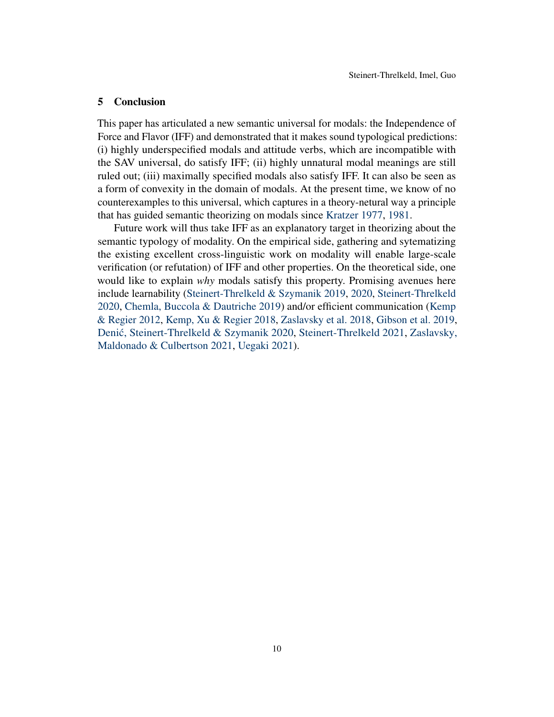### <span id="page-9-0"></span>5 Conclusion

This paper has articulated a new semantic universal for modals: the Independence of Force and Flavor (IFF) and demonstrated that it makes sound typological predictions: (i) highly underspecified modals and attitude verbs, which are incompatible with the SAV universal, do satisfy IFF; (ii) highly unnatural modal meanings are still ruled out; (iii) maximally specified modals also satisfy IFF. It can also be seen as a form of convexity in the domain of modals. At the present time, we know of no counterexamples to this universal, which captures in a theory-netural way a principle that has guided semantic theorizing on modals since [Kratzer 1977,](#page-11-12) [1981.](#page-11-4)

Future work will thus take IFF as an explanatory target in theorizing about the semantic typology of modality. On the empirical side, gathering and sytematizing the existing excellent cross-linguistic work on modality will enable large-scale verification (or refutation) of IFF and other properties. On the theoretical side, one would like to explain *why* modals satisfy this property. Promising avenues here include learnability [\(Steinert-Threlkeld & Szymanik 2019,](#page-12-6) [2020,](#page-12-5) [Steinert-Threlkeld](#page-12-7) [2020,](#page-12-7) [Chemla, Buccola & Dautriche 2019\)](#page-10-11) and/or efficient communication [\(Kemp](#page-11-13) [& Regier 2012,](#page-11-13) [Kemp, Xu & Regier 2018,](#page-11-14) [Zaslavsky et al. 2018,](#page-12-8) [Gibson et al. 2019,](#page-11-15) Denić, Steinert-Threlkeld & Szymanik 2020, [Steinert-Threlkeld 2021,](#page-12-9) [Zaslavsky,](#page-12-10) [Maldonado & Culbertson 2021,](#page-12-10) [Uegaki 2021\)](#page-12-11).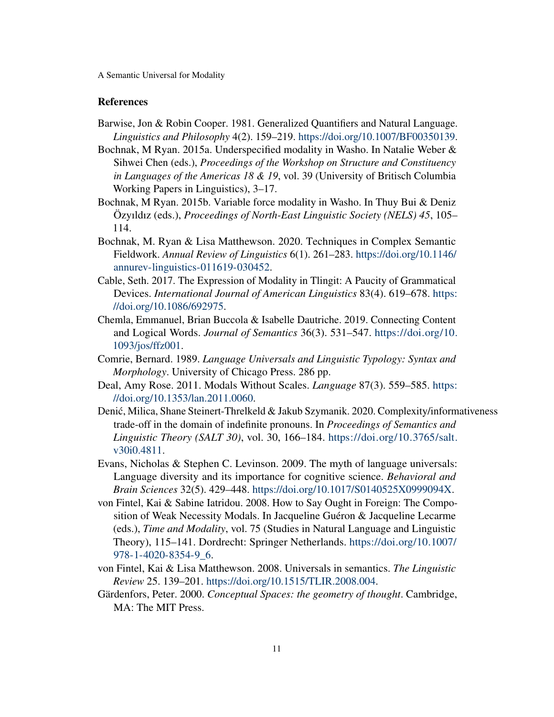## References

- <span id="page-10-3"></span>Barwise, Jon & Robin Cooper. 1981. Generalized Quantifiers and Natural Language. *Linguistics and Philosophy* 4(2). 159–219. [https://doi.org/10.1007/BF00350139.](https://doi.org/10.1007/BF00350139)
- <span id="page-10-0"></span>Bochnak, M Ryan. 2015a. Underspecified modality in Washo. In Natalie Weber & Sihwei Chen (eds.), *Proceedings of the Workshop on Structure and Constituency in Languages of the Americas 18 & 19*, vol. 39 (University of Britisch Columbia Working Papers in Linguistics), 3–17.
- <span id="page-10-1"></span>Bochnak, M Ryan. 2015b. Variable force modality in Washo. In Thuy Bui & Deniz Özyıldız (eds.), *Proceedings of North-East Linguistic Society (NELS) 45*, 105– 114.
- <span id="page-10-8"></span>Bochnak, M. Ryan & Lisa Matthewson. 2020. Techniques in Complex Semantic Fieldwork. *Annual Review of Linguistics* 6(1). 261–283. [https://doi.org/10.1146/](https://doi.org/10.1146/annurev-linguistics-011619-030452) [annurev-linguistics-011619-030452.](https://doi.org/10.1146/annurev-linguistics-011619-030452)
- <span id="page-10-9"></span>Cable, Seth. 2017. The Expression of Modality in Tlingit: A Paucity of Grammatical Devices. *International Journal of American Linguistics* 83(4). 619–678. [https:](https://doi.org/10.1086/692975) [//doi.org/10.1086/692975.](https://doi.org/10.1086/692975)
- <span id="page-10-11"></span>Chemla, Emmanuel, Brian Buccola & Isabelle Dautriche. 2019. Connecting Content and Logical Words. *Journal of Semantics* 36(3). 531–547. [https://doi.org/10.](https://doi.org/10.1093/jos/ffz001) [1093/jos/ffz001.](https://doi.org/10.1093/jos/ffz001)
- <span id="page-10-2"></span>Comrie, Bernard. 1989. *Language Universals and Linguistic Typology: Syntax and Morphology*. University of Chicago Press. 286 pp.
- <span id="page-10-6"></span>Deal, Amy Rose. 2011. Modals Without Scales. *Language* 87(3). 559–585. [https:](https://doi.org/10.1353/lan.2011.0060) [//doi.org/10.1353/lan.2011.0060.](https://doi.org/10.1353/lan.2011.0060)
- <span id="page-10-12"></span>Denić, Milica, Shane Steinert-Threlkeld & Jakub Szymanik. 2020. Complexity/informativeness trade-off in the domain of indefinite pronouns. In *Proceedings of Semantics and Linguistic Theory (SALT 30)*, vol. 30, 166–184. [https://doi.org/10.3765/salt.](https://doi.org/10.3765/salt.v30i0.4811) [v30i0.4811.](https://doi.org/10.3765/salt.v30i0.4811)
- <span id="page-10-5"></span>Evans, Nicholas & Stephen C. Levinson. 2009. The myth of language universals: Language diversity and its importance for cognitive science. *Behavioral and Brain Sciences* 32(5). 429–448. [https://doi.org/10.1017/S0140525X0999094X.](https://doi.org/10.1017/S0140525X0999094X)
- <span id="page-10-7"></span>von Fintel, Kai & Sabine Iatridou. 2008. How to Say Ought in Foreign: The Composition of Weak Necessity Modals. In Jacqueline Guéron & Jacqueline Lecarme (eds.), *Time and Modality*, vol. 75 (Studies in Natural Language and Linguistic Theory), 115–141. Dordrecht: Springer Netherlands. [https://doi.org/10.1007/](https://doi.org/10.1007/978-1-4020-8354-9_6) [978-1-4020-8354-9\\_6.](https://doi.org/10.1007/978-1-4020-8354-9_6)
- <span id="page-10-4"></span>von Fintel, Kai & Lisa Matthewson. 2008. Universals in semantics. *The Linguistic Review* 25. 139–201. [https://doi.org/10.1515/TLIR.2008.004.](https://doi.org/10.1515/TLIR.2008.004)
- <span id="page-10-10"></span>Gärdenfors, Peter. 2000. *Conceptual Spaces: the geometry of thought*. Cambridge, MA: The MIT Press.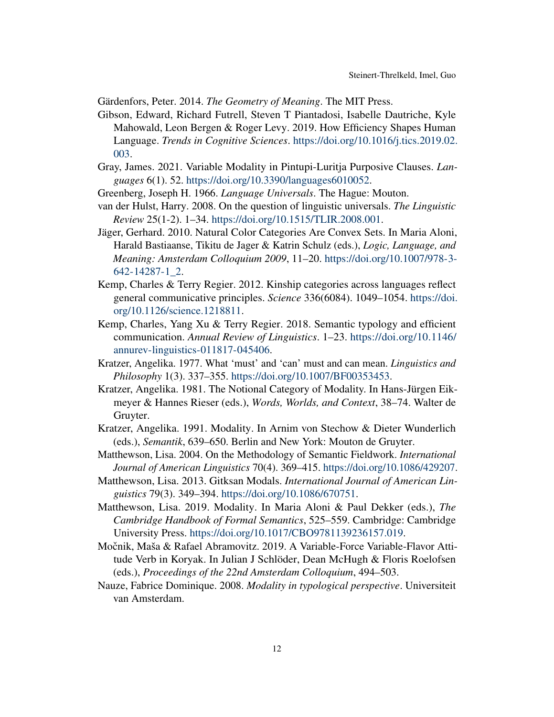<span id="page-11-10"></span>Gärdenfors, Peter. 2014. *The Geometry of Meaning*. The MIT Press.

- <span id="page-11-15"></span>Gibson, Edward, Richard Futrell, Steven T Piantadosi, Isabelle Dautriche, Kyle Mahowald, Leon Bergen & Roger Levy. 2019. How Efficiency Shapes Human Language. *Trends in Cognitive Sciences*. [https://doi.org/10.1016/j.tics.2019.02.](https://doi.org/10.1016/j.tics.2019.02.003) [003.](https://doi.org/10.1016/j.tics.2019.02.003)
- <span id="page-11-7"></span>Gray, James. 2021. Variable Modality in Pintupi-Luritja Purposive Clauses. *Languages* 6(1). 52. [https://doi.org/10.3390/languages6010052.](https://doi.org/10.3390/languages6010052)
- <span id="page-11-2"></span>Greenberg, Joseph H. 1966. *Language Universals*. The Hague: Mouton.
- <span id="page-11-3"></span>van der Hulst, Harry. 2008. On the question of linguistic universals. *The Linguistic Review* 25(1-2). 1–34. [https://doi.org/10.1515/TLIR.2008.001.](https://doi.org/10.1515/TLIR.2008.001)
- <span id="page-11-11"></span>Jäger, Gerhard. 2010. Natural Color Categories Are Convex Sets. In Maria Aloni, Harald Bastiaanse, Tikitu de Jager & Katrin Schulz (eds.), *Logic, Language, and Meaning: Amsterdam Colloquium 2009*, 11–20. [https://doi.org/10.1007/978-3-](https://doi.org/10.1007/978-3-642-14287-1_2) [642-14287-1\\_2.](https://doi.org/10.1007/978-3-642-14287-1_2)
- <span id="page-11-13"></span>Kemp, Charles & Terry Regier. 2012. Kinship categories across languages reflect general communicative principles. *Science* 336(6084). 1049–1054. [https://doi.](https://doi.org/10.1126/science.1218811) [org/10.1126/science.1218811.](https://doi.org/10.1126/science.1218811)
- <span id="page-11-14"></span>Kemp, Charles, Yang Xu & Terry Regier. 2018. Semantic typology and efficient communication. *Annual Review of Linguistics*. 1–23. [https://doi.org/10.1146/](https://doi.org/10.1146/annurev-linguistics-011817-045406) [annurev-linguistics-011817-045406.](https://doi.org/10.1146/annurev-linguistics-011817-045406)
- <span id="page-11-12"></span>Kratzer, Angelika. 1977. What 'must' and 'can' must and can mean. *Linguistics and Philosophy* 1(3). 337–355. [https://doi.org/10.1007/BF00353453.](https://doi.org/10.1007/BF00353453)
- <span id="page-11-4"></span>Kratzer, Angelika. 1981. The Notional Category of Modality. In Hans-Jürgen Eikmeyer & Hannes Rieser (eds.), *Words, Worlds, and Context*, 38–74. Walter de Gruyter.
- <span id="page-11-5"></span>Kratzer, Angelika. 1991. Modality. In Arnim von Stechow & Dieter Wunderlich (eds.), *Semantik*, 639–650. Berlin and New York: Mouton de Gruyter.
- <span id="page-11-8"></span>Matthewson, Lisa. 2004. On the Methodology of Semantic Fieldwork. *International Journal of American Linguistics* 70(4). 369–415. [https://doi.org/10.1086/429207.](https://doi.org/10.1086/429207)
- <span id="page-11-9"></span>Matthewson, Lisa. 2013. Gitksan Modals. *International Journal of American Linguistics* 79(3). 349–394. [https://doi.org/10.1086/670751.](https://doi.org/10.1086/670751)
- <span id="page-11-6"></span>Matthewson, Lisa. 2019. Modality. In Maria Aloni & Paul Dekker (eds.), *The Cambridge Handbook of Formal Semantics*, 525–559. Cambridge: Cambridge University Press. [https://doi.org/10.1017/CBO9781139236157.019.](https://doi.org/10.1017/CBO9781139236157.019)
- <span id="page-11-1"></span>Močnik, Maša & Rafael Abramovitz. 2019. A Variable-Force Variable-Flavor Attitude Verb in Koryak. In Julian J Schlöder, Dean McHugh & Floris Roelofsen (eds.), *Proceedings of the 22nd Amsterdam Colloquium*, 494–503.
- <span id="page-11-0"></span>Nauze, Fabrice Dominique. 2008. *Modality in typological perspective*. Universiteit van Amsterdam.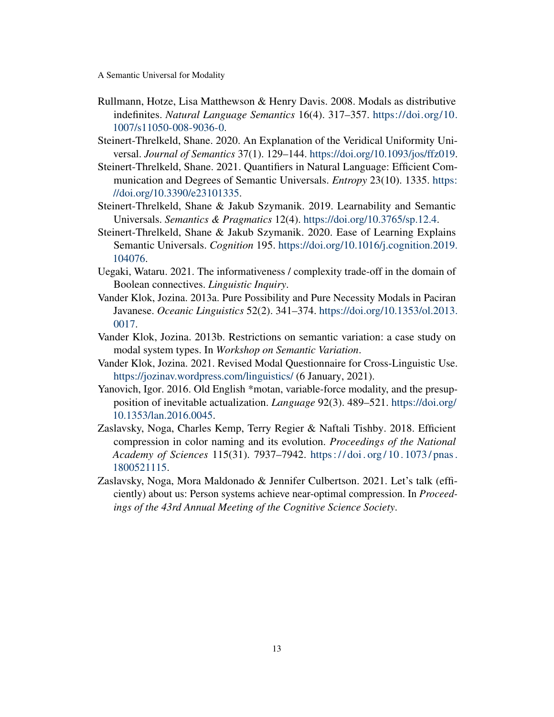- <span id="page-12-0"></span>Rullmann, Hotze, Lisa Matthewson & Henry Davis. 2008. Modals as distributive indefinites. *Natural Language Semantics* 16(4). 317–357. [https://doi.org/10.](https://doi.org/10.1007/s11050-008-9036-0) [1007/s11050-008-9036-0.](https://doi.org/10.1007/s11050-008-9036-0)
- <span id="page-12-7"></span>Steinert-Threlkeld, Shane. 2020. An Explanation of the Veridical Uniformity Universal. *Journal of Semantics* 37(1). 129–144. [https://doi.org/10.1093/jos/ffz019.](https://doi.org/10.1093/jos/ffz019)
- <span id="page-12-9"></span>Steinert-Threlkeld, Shane. 2021. Quantifiers in Natural Language: Efficient Communication and Degrees of Semantic Universals. *Entropy* 23(10). 1335. [https:](https://doi.org/10.3390/e23101335) [//doi.org/10.3390/e23101335.](https://doi.org/10.3390/e23101335)
- <span id="page-12-6"></span>Steinert-Threlkeld, Shane & Jakub Szymanik. 2019. Learnability and Semantic Universals. *Semantics & Pragmatics* 12(4). [https://doi.org/10.3765/sp.12.4.](https://doi.org/10.3765/sp.12.4)
- <span id="page-12-5"></span>Steinert-Threlkeld, Shane & Jakub Szymanik. 2020. Ease of Learning Explains Semantic Universals. *Cognition* 195. [https://doi.org/10.1016/j.cognition.2019.](https://doi.org/10.1016/j.cognition.2019.104076) [104076.](https://doi.org/10.1016/j.cognition.2019.104076)
- <span id="page-12-11"></span>Uegaki, Wataru. 2021. The informativeness / complexity trade-off in the domain of Boolean connectives. *Linguistic Inquiry*.
- <span id="page-12-1"></span>Vander Klok, Jozina. 2013a. Pure Possibility and Pure Necessity Modals in Paciran Javanese. *Oceanic Linguistics* 52(2). 341–374. [https://doi.org/10.1353/ol.2013.](https://doi.org/10.1353/ol.2013.0017) [0017.](https://doi.org/10.1353/ol.2013.0017)
- <span id="page-12-4"></span>Vander Klok, Jozina. 2013b. Restrictions on semantic variation: a case study on modal system types. In *Workshop on Semantic Variation*.
- <span id="page-12-3"></span>Vander Klok, Jozina. 2021. Revised Modal Questionnaire for Cross-Linguistic Use. <https://jozinav.wordpress.com/linguistics/> (6 January, 2021).
- <span id="page-12-2"></span>Yanovich, Igor. 2016. Old English \*motan, variable-force modality, and the presupposition of inevitable actualization. *Language* 92(3). 489–521. [https://doi.org/](https://doi.org/10.1353/lan.2016.0045) [10.1353/lan.2016.0045.](https://doi.org/10.1353/lan.2016.0045)
- <span id="page-12-8"></span>Zaslavsky, Noga, Charles Kemp, Terry Regier & Naftali Tishby. 2018. Efficient compression in color naming and its evolution. *Proceedings of the National Academy of Sciences* 115(31). 7937–7942. [https : / / doi . org / 10 . 1073 / pnas .](https://doi.org/10.1073/pnas.1800521115) [1800521115.](https://doi.org/10.1073/pnas.1800521115)
- <span id="page-12-10"></span>Zaslavsky, Noga, Mora Maldonado & Jennifer Culbertson. 2021. Let's talk (efficiently) about us: Person systems achieve near-optimal compression. In *Proceedings of the 43rd Annual Meeting of the Cognitive Science Society*.